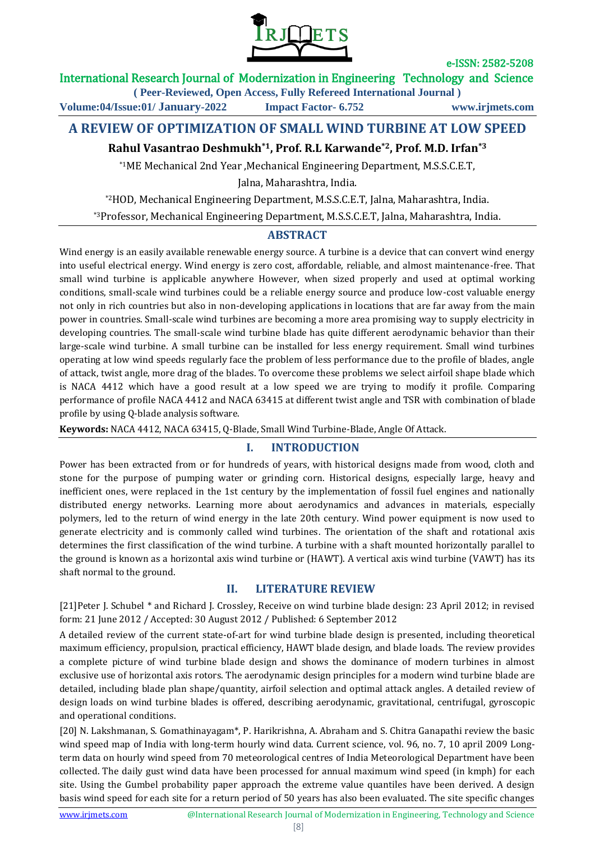

e-ISSN: 2582-5208

International Research Journal of Modernization in Engineering Technology and Science

**( Peer-Reviewed, Open Access, Fully Refereed International Journal )**

**Volume:04/Issue:01/ January-2022 Impact Factor- 6.752 www.irjmets.com**

# **A REVIEW OF OPTIMIZATION OF SMALL WIND TURBINE AT LOW SPEED**

# **Rahul Vasantrao Deshmukh\*1, Prof. R.L Karwande\*2, Prof. M.D. Irfan\*3**

\*1ME Mechanical 2nd Year ,Mechanical Engineering Department, M.S.S.C.E.T,

Jalna, Maharashtra, India.

\*2HOD, Mechanical Engineering Department, M.S.S.C.E.T, Jalna, Maharashtra, India.

\*3Professor, Mechanical Engineering Department, M.S.S.C.E.T, Jalna, Maharashtra, India.

# **ABSTRACT**

Wind energy is an easily available renewable energy source. A turbine is a device that can convert wind energy into useful electrical energy. Wind energy is zero cost, affordable, reliable, and almost maintenance-free. That small wind turbine is applicable anywhere However, when sized properly and used at optimal working conditions, small-scale wind turbines could be a reliable energy source and produce low-cost valuable energy not only in rich countries but also in non-developing applications in locations that are far away from the main power in countries. Small-scale wind turbines are becoming a more area promising way to supply electricity in developing countries. The small-scale wind turbine blade has quite different aerodynamic behavior than their large-scale wind turbine. A small turbine can be installed for less energy requirement. Small wind turbines operating at low wind speeds regularly face the problem of less performance due to the profile of blades, angle of attack, twist angle, more drag of the blades. To overcome these problems we select airfoil shape blade which is NACA 4412 which have a good result at a low speed we are trying to modify it profile. Comparing performance of profile NACA 4412 and NACA 63415 at different twist angle and TSR with combination of blade profile by using Q-blade analysis software.

**Keywords:** NACA 4412, NACA 63415, Q-Blade, Small Wind Turbine-Blade, Angle Of Attack.

## **I. INTRODUCTION**

Power has been extracted from or for hundreds of years, with historical designs made from wood, cloth and stone for the purpose of pumping water or grinding corn. Historical designs, especially large, heavy and inefficient ones, were replaced in the 1st century by the implementation of fossil fuel engines and nationally distributed energy networks. Learning more about aerodynamics and advances in materials, especially polymers, led to the return of wind energy in the late 20th century. Wind power equipment is now used to generate electricity and is commonly called wind turbines. The orientation of the shaft and rotational axis determines the first classification of the wind turbine. A turbine with a shaft mounted horizontally parallel to the ground is known as a horizontal axis wind turbine or (HAWT). A vertical axis wind turbine (VAWT) has its shaft normal to the ground.

## **II. LITERATURE REVIEW**

[21]Peter J. Schubel \* and Richard J. Crossley, Receive on wind turbine blade design: 23 April 2012; in revised form: 21 June 2012 / Accepted: 30 August 2012 / Published: 6 September 2012

A detailed review of the current state-of-art for wind turbine blade design is presented, including theoretical maximum efficiency, propulsion, practical efficiency, HAWT blade design, and blade loads. The review provides a complete picture of wind turbine blade design and shows the dominance of modern turbines in almost exclusive use of horizontal axis rotors. The aerodynamic design principles for a modern wind turbine blade are detailed, including blade plan shape/quantity, airfoil selection and optimal attack angles. A detailed review of design loads on wind turbine blades is offered, describing aerodynamic, gravitational, centrifugal, gyroscopic and operational conditions.

[20] N. Lakshmanan, S. Gomathinayagam\*, P. Harikrishna, A. Abraham and S. Chitra Ganapathi review the basic wind speed map of India with long-term hourly wind data. Current science, vol. 96, no. 7, 10 april 2009 Longterm data on hourly wind speed from 70 meteorological centres of India Meteorological Department have been collected. The daily gust wind data have been processed for annual maximum wind speed (in kmph) for each site. Using the Gumbel probability paper approach the extreme value quantiles have been derived. A design basis wind speed for each site for a return period of 50 years has also been evaluated. The site specific changes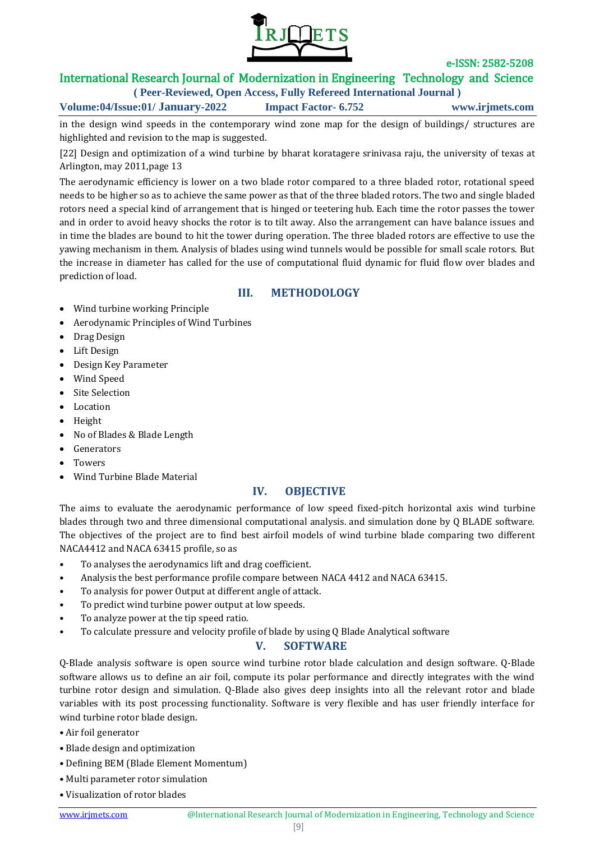

e-ISSN: 2582-5208

# International Research Journal of Modernization in Engineering Technology and Science

**( Peer-Reviewed, Open Access, Fully Refereed International Journal ) Volume:04/Issue:01/ January-2022 Impact Factor- 6.752 www.irjmets.com**

in the design wind speeds in the contemporary wind zone map for the design of buildings/ structures are highlighted and revision to the map is suggested.

[22] Design and optimization of a wind turbine by bharat koratagere srinivasa raju, the university of texas at Arlington, may 2011,page 13

The aerodynamic efficiency is lower on a two blade rotor compared to a three bladed rotor, rotational speed needs to be higher so as to achieve the same power as that of the three bladed rotors. The two and single bladed rotors need a special kind of arrangement that is hinged or teetering hub. Each time the rotor passes the tower and in order to avoid heavy shocks the rotor is to tilt away. Also the arrangement can have balance issues and in time the blades are bound to hit the tower during operation. The three bladed rotors are effective to use the yawing mechanism in them. Analysis of blades using wind tunnels would be possible for small scale rotors. But the increase in diameter has called for the use of computational fluid dynamic for fluid flow over blades and prediction of load.

# **III. METHODOLOGY**

- Wind turbine working Principle
- Aerodynamic Principles of Wind Turbines
- Drag Design
- Lift Design
- Design Key Parameter
- Wind Speed
- Site Selection
- Location
- Height
- No of Blades & Blade Length
- Generators
- Towers
- Wind Turbine Blade Material

## **IV. OBJECTIVE**

The aims to evaluate the aerodynamic performance of low speed fixed-pitch horizontal axis wind turbine blades through two and three dimensional computational analysis. and simulation done by Q BLADE software. The objectives of the project are to find best airfoil models of wind turbine blade comparing two different NACA4412 and NACA 63415 profile, so as

- To analyses the aerodynamics lift and drag coefficient.
- Analysis the best performance profile compare between NACA 4412 and NACA 63415.
- To analysis for power Output at different angle of attack.
- To predict wind turbine power output at low speeds.
- To analyze power at the tip speed ratio.
- To calculate pressure and velocity profile of blade by using Q Blade Analytical software

## **V. SOFTWARE**

Q-Blade analysis software is open source wind turbine rotor blade calculation and design software. Q-Blade software allows us to define an air foil, compute its polar performance and directly integrates with the wind turbine rotor design and simulation. Q-Blade also gives deep insights into all the relevant rotor and blade variables with its post processing functionality. Software is very flexible and has user friendly interface for wind turbine rotor blade design.

- Air foil generator
- Blade design and optimization
- Defining BEM (Blade Element Momentum)
- Multi parameter rotor simulation
- Visualization of rotor blades